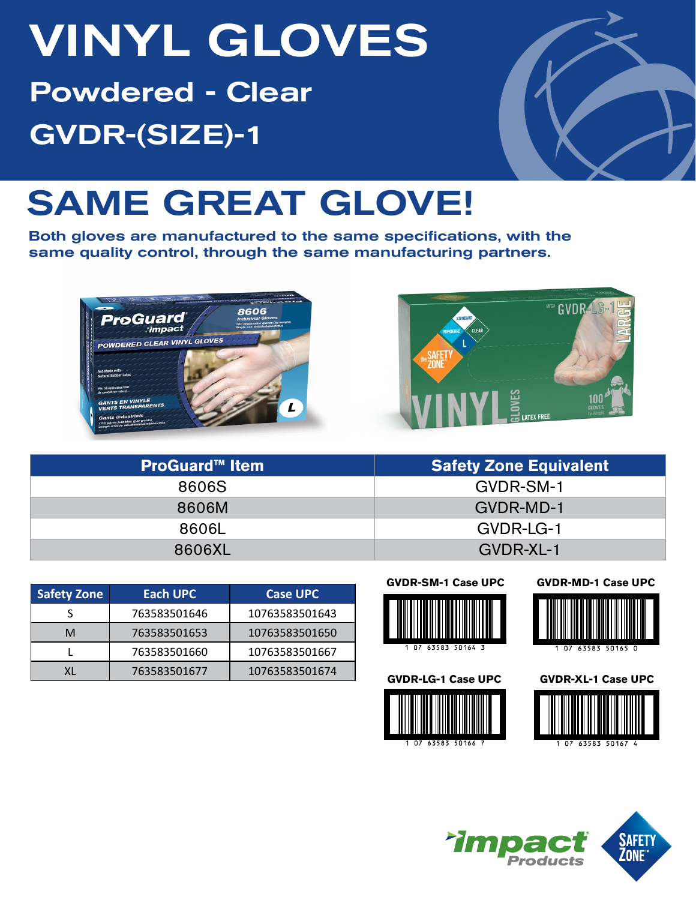# VINYL GLOVES Powdered - Clear GVDR-(SIZE)-1



## SAME GREAT GLOVE!

Both gloves are manufactured to the same specifications, with the same quality control, through the same manufacturing partners.





| <b>ProGuard™ Item</b> | <b>Safety Zone Equivalent</b> |  |  |  |
|-----------------------|-------------------------------|--|--|--|
| 8606S                 | GVDR-SM-1                     |  |  |  |
| 8606M                 | GVDR-MD-1                     |  |  |  |
| 8606L                 | GVDR-LG-1                     |  |  |  |
| 8606XL                | GVDR-XL-1                     |  |  |  |

| <b>Safety Zone</b> | Each UPC     | <b>Case UPC</b> |
|--------------------|--------------|-----------------|
|                    | 763583501646 | 10763583501643  |
|                    | 763583501653 | 10763583501650  |
|                    | 763583501660 | 10763583501667  |
|                    | 763583501677 | 10763583501674  |

**GVDR-SM-1 Case UPC**









**GVDR-MD-1 Case UPC**



63583 50165 0

**GVDR-XL-1 Case UPC**